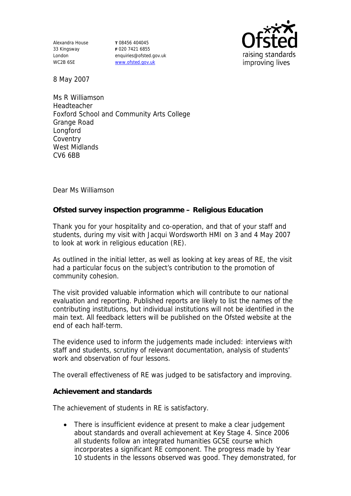Alexandra House 33 Kingsway London WC2B 6SE

**T** 08456 404045 **F** 020 7421 6855 enquiries@ofsted.gov.uk www.ofsted.gov.uk



8 May 2007

Ms R Williamson Headteacher Foxford School and Community Arts College Grange Road Longford Coventry West Midlands CV6 6BB

Dear Ms Williamson

**Ofsted survey inspection programme – Religious Education** 

Thank you for your hospitality and co-operation, and that of your staff and students, during my visit with Jacqui Wordsworth HMI on 3 and 4 May 2007 to look at work in religious education (RE).

As outlined in the initial letter, as well as looking at key areas of RE, the visit had a particular focus on the subject's contribution to the promotion of community cohesion.

The visit provided valuable information which will contribute to our national evaluation and reporting. Published reports are likely to list the names of the contributing institutions, but individual institutions will not be identified in the main text. All feedback letters will be published on the Ofsted website at the end of each half-term.

The evidence used to inform the judgements made included: interviews with staff and students, scrutiny of relevant documentation, analysis of students' work and observation of four lessons.

The overall effectiveness of RE was judged to be satisfactory and improving.

**Achievement and standards** 

The achievement of students in RE is satisfactory.

• There is insufficient evidence at present to make a clear judgement about standards and overall achievement at Key Stage 4. Since 2006 all students follow an integrated humanities GCSE course which incorporates a significant RE component. The progress made by Year 10 students in the lessons observed was good. They demonstrated, for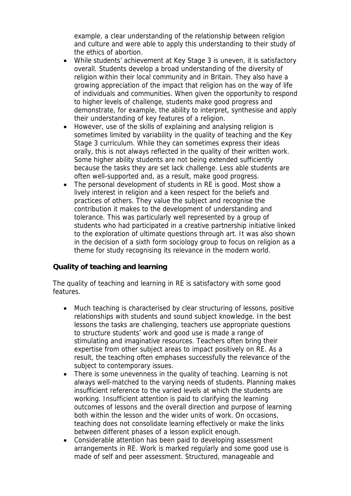example, a clear understanding of the relationship between religion and culture and were able to apply this understanding to their study of the ethics of abortion.

- While students' achievement at Key Stage 3 is uneven, it is satisfactory overall. Students develop a broad understanding of the diversity of religion within their local community and in Britain. They also have a growing appreciation of the impact that religion has on the way of life of individuals and communities. When given the opportunity to respond to higher levels of challenge, students make good progress and demonstrate, for example, the ability to interpret, synthesise and apply their understanding of key features of a religion.
- However, use of the skills of explaining and analysing religion is sometimes limited by variability in the quality of teaching and the Key Stage 3 curriculum. While they can sometimes express their ideas orally, this is not always reflected in the quality of their written work. Some higher ability students are not being extended sufficiently because the tasks they are set lack challenge. Less able students are often well-supported and, as a result, make good progress.
- The personal development of students in RE is good. Most show a lively interest in religion and a keen respect for the beliefs and practices of others. They value the subject and recognise the contribution it makes to the development of understanding and tolerance. This was particularly well represented by a group of students who had participated in a creative partnership initiative linked to the exploration of ultimate questions through art. It was also shown in the decision of a sixth form sociology group to focus on religion as a theme for study recognising its relevance in the modern world.

## **Quality of teaching and learning**

The quality of teaching and learning in RE is satisfactory with some good features.

- Much teaching is characterised by clear structuring of lessons, positive relationships with students and sound subject knowledge. In the best lessons the tasks are challenging, teachers use appropriate questions to structure students' work and good use is made a range of stimulating and imaginative resources. Teachers often bring their expertise from other subject areas to impact positively on RE. As a result, the teaching often emphases successfully the relevance of the subject to contemporary issues.
- There is some unevenness in the quality of teaching. Learning is not always well-matched to the varying needs of students. Planning makes insufficient reference to the varied levels at which the students are working. Insufficient attention is paid to clarifying the learning outcomes of lessons and the overall direction and purpose of learning both within the lesson and the wider units of work. On occasions, teaching does not consolidate learning effectively or make the links between different phases of a lesson explicit enough.
- Considerable attention has been paid to developing assessment arrangements in RE. Work is marked regularly and some good use is made of self and peer assessment. Structured, manageable and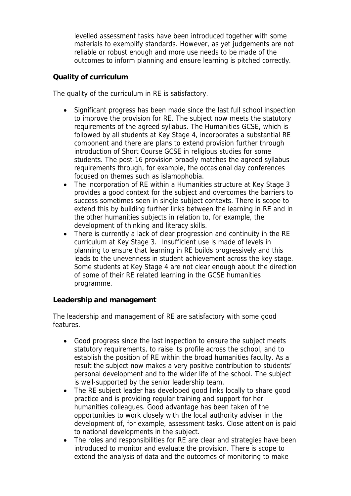levelled assessment tasks have been introduced together with some materials to exemplify standards. However, as yet judgements are not reliable or robust enough and more use needs to be made of the outcomes to inform planning and ensure learning is pitched correctly.

## **Quality of curriculum**

The quality of the curriculum in RE is satisfactory.

- Significant progress has been made since the last full school inspection to improve the provision for RE. The subject now meets the statutory requirements of the agreed syllabus. The Humanities GCSE, which is followed by all students at Key Stage 4, incorporates a substantial RE component and there are plans to extend provision further through introduction of Short Course GCSE in religious studies for some students. The post-16 provision broadly matches the agreed syllabus requirements through, for example, the occasional day conferences focused on themes such as islamophobia.
- The incorporation of RE within a Humanities structure at Key Stage 3 provides a good context for the subject and overcomes the barriers to success sometimes seen in single subject contexts. There is scope to extend this by building further links between the learning in RE and in the other humanities subjects in relation to, for example, the development of thinking and literacy skills.
- There is currently a lack of clear progression and continuity in the RE curriculum at Key Stage 3. Insufficient use is made of levels in planning to ensure that learning in RE builds progressively and this leads to the unevenness in student achievement across the key stage. Some students at Key Stage 4 are not clear enough about the direction of some of their RE related learning in the GCSE humanities programme.

**Leadership and management** 

The leadership and management of RE are satisfactory with some good features.

- Good progress since the last inspection to ensure the subject meets statutory requirements, to raise its profile across the school, and to establish the position of RE within the broad humanities faculty. As a result the subject now makes a very positive contribution to students' personal development and to the wider life of the school. The subject is well-supported by the senior leadership team.
- The RE subject leader has developed good links locally to share good practice and is providing regular training and support for her humanities colleagues. Good advantage has been taken of the opportunities to work closely with the local authority adviser in the development of, for example, assessment tasks. Close attention is paid to national developments in the subject.
- The roles and responsibilities for RE are clear and strategies have been introduced to monitor and evaluate the provision. There is scope to extend the analysis of data and the outcomes of monitoring to make